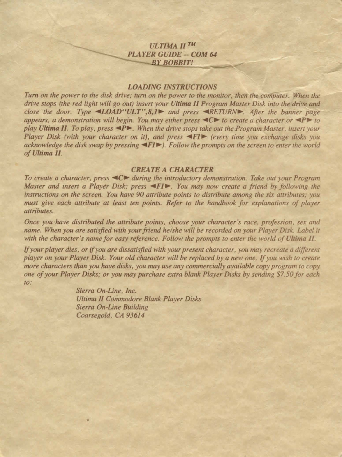## **ULTIMA IITM** *PLAYER GUIDE* **--** *COM 64*  **BY BOBBIT!**

## *LOADING INSTRUCTIONS*

*Turn on the power to the disk drive; turn on the power to the monitor, then the computer. When the drive stops (the red light will go out) insert your Ultima II Program Master Disk into the drive and close the door. Type "4LOAD"ULT", 8,1. and press* "RETURN. After the banner page appears, a demonstration will begin. You may either press  $\langle C \rangle$  to create a character or  $\langle P \rangle$  to *play Ultima 11. To play, press ..,.P ... When the drive stops rake our the Program Master, i11sert your Player Disk (with your character on it), and press*  $\blacktriangleleft$  *FI* $\blacktriangleright$  *(every time you exchange disks you acknowledge the disk swap by pressing ..,.FI.,). Follow the prompts 011 the screen to enter the world of Ultima II.* 

## *CREATE A CHARACTER*

*To create a character, press ≤C► during the introductory demonstration. Take out your Program Master and insert a Player Disk; press*  $\blacktriangleleft$  *FI*  $\blacktriangleright$ *. You may now create a friend by following the instructions on the screen. You have 90 allribute points to distribute among the six attributes; you must give each attribute at least ten points. Refer co rhe handbook for explanations of player attributes.* 

*Once you have distributed the attribute points, choose your character's race, profession, sex and*  name. When you are satisfied with your friend he/she will be recorded on your Player Disk. Label it with the character's name for easy reference. Follow the prompts to enter the world of Ultima II.

*If your player dies, or* if *you are dissatisfied with your presem character, you may recreate a different player on your Player Disk. Your old character will be replaced by a new one. If you wish to create more characters than you have disks, you may use any commercially available copy program to copy one of your Player Disks; or you may purchase extra blank Player Disks by sending \$7. 50 for each co:* 

> *Sierra On-Line, Inc. Ultima II Commodore Blank Player Disks Sierra On-Line Building Coarsegold, CA 93614*